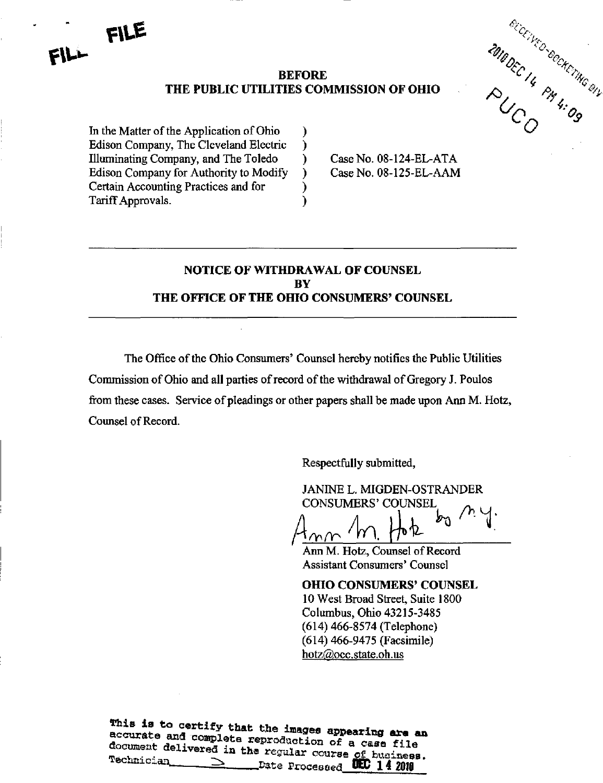



Case No. 08-124-EL-ATA Case No. 08-125-EL-AAM

## NOTICE OF WITHDRAWAL OF COUNSEL **BY** THE OFFICE OF THE OHIO CONSUMERS' COUNSEL

The Office of the Ohio Consumers' Counsel hereby notifies the Public Utilities Commission of Ohio and all parties of record of the withdrawal of Gregory J. Poulos from these cases. Service of pleadings or other papers shall be made upon Ann M. Hotz, Counsel of Record.

Respectfully submitted,

JANINE L. MIGDEN-OSTRANDER CONSUMERS' COUNSEL ^

Ann M. Hotz, Counsel of Record Assistant Consumers' Counsel

OHIO CONSUMERS' COUNSEL 10 West Broad Street, Suite 1800 Columbus, Ohio 43215-3485 (614) 466-8574 (Telephone) (614) 466-9475 (Facsimile) [hotz@occ.state.oh.us](mailto:hotz@occ.state.oh.us) 

This is to certify that the images appearing are an accurate and complete reproduction of a case file document delivered in the worslap some a case file Tachninian - - - - - - - - - - Lue regular course of buainess.

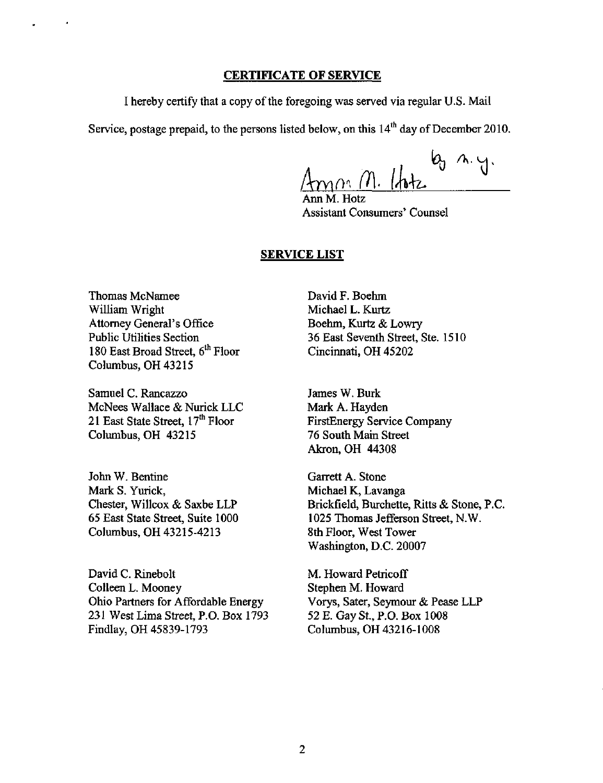## CERTIFICATE OF SERVICE

I hereby certify that a copy of the foregoing was served via regular U.S. Mail

Service, postage prepaid, to the persons listed below, on this  $14^{\text{th}}$  day of December 2010.

<u>Amm (1)</u> lote  $\mathbf{b}_n$   $\mathbf{a} \cdot \mathbf{y}$ 

Ann M. Hotz Assistant Consumers' Counsel

## SERVICE LIST

Thomas McNamee William Wright Attorney General's Office Public Utilities Section 180 East Broad Street,  $6^{\text{th}}$  Floor Columbus, OH 43215

Samuel C. Rancazzo McNees Wallace & Nurick LLC 21 East State Street, 17<sup>m</sup> Floor Columbus, OH 43215

John W. Bentine Mark S. Yurick, Chester, Willcox & Saxbe LLP 65 East State Street, Suite 1000 Columbus, OH 43215-4213

David C. Rinebolt Colleen L. Mooney Ohio Partners for Affordable Energy 231 West Lima Street, P.O. Box 1793 Findlay, OH 45839-1793

David F. Boehm Michael L. Kurtz Boehm, Kurtz & Lowry 36 East Seventh Street, Ste. 1510 Cincinnati, OH 45202

James W. Burk Mark A. Hayden FirstEnergy Service Company 76 South Main Street Akron, OH 44308

Garrett A. Stone Michael K, Lavanga Brickfield, Burchette, Ritts & Stone, P.C. 1025 Thomas Jefferson Street, N.W. 8th Floor, West Tower Washington, D.C. 20007

M. Howard Petricoff Stephen M. Howard Vorys, Sater, Seymour & Pease LLP 52 E. Gay St., P.O. Box 1008 Columbus, OH 43216-1008